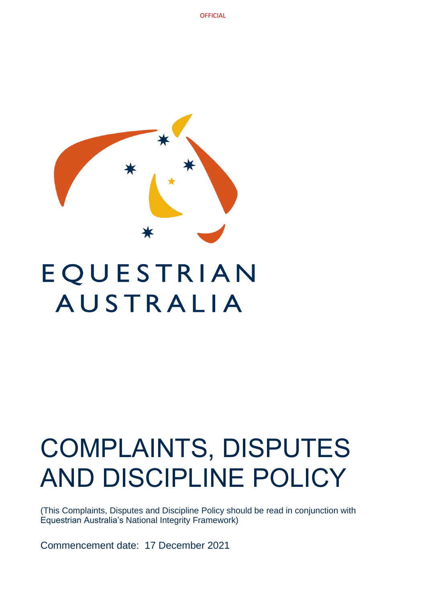

# EQUESTRIAN **AUSTRALIA**

# COMPLAINTS, DISPUTES AND DISCIPLINE POLICY

(This Complaints, Disputes and Discipline Policy should be read in conjunction with Equestrian Australia's National Integrity Framework)

Commencement date: 17 December 2021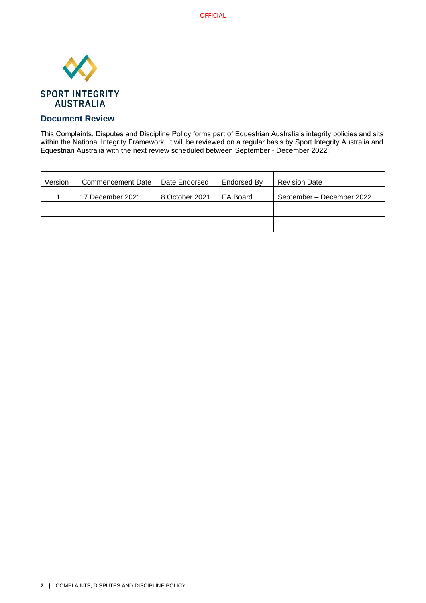

# **Document Review**

This Complaints, Disputes and Discipline Policy forms part of Equestrian Australia's integrity policies and sits within the National Integrity Framework. It will be reviewed on a regular basis by Sport Integrity Australia and Equestrian Australia with the next review scheduled between September - December 2022.

| Version | <b>Commencement Date</b> | Date Endorsed  | Endorsed By | <b>Revision Date</b>      |
|---------|--------------------------|----------------|-------------|---------------------------|
|         | 17 December 2021         | 8 October 2021 | EA Board    | September – December 2022 |
|         |                          |                |             |                           |
|         |                          |                |             |                           |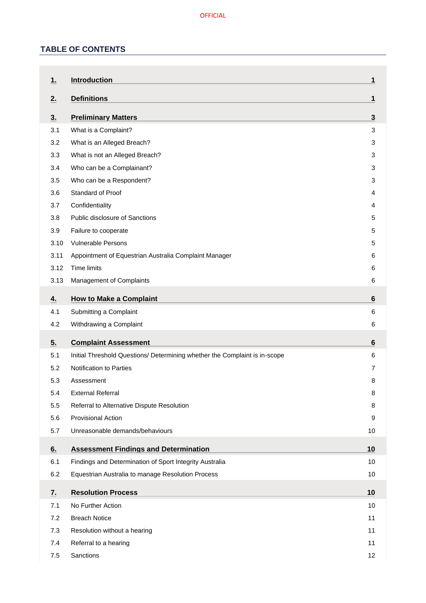# **TABLE OF CONTENTS**

| 1.         | <b>Introduction</b>                                                        | 1        |
|------------|----------------------------------------------------------------------------|----------|
| 2.         | <b>Definitions</b>                                                         | 1        |
| 3.         | <b>Preliminary Matters</b>                                                 | 3        |
| 3.1        | What is a Complaint?                                                       | 3        |
| 3.2        | What is an Alleged Breach?                                                 | 3        |
| 3.3        | What is not an Alleged Breach?                                             | 3        |
| 3.4        | Who can be a Complainant?                                                  | 3        |
| 3.5        | Who can be a Respondent?                                                   | 3        |
| 3.6        | Standard of Proof                                                          | 4        |
| 3.7        | Confidentiality                                                            | 4        |
| 3.8        | <b>Public disclosure of Sanctions</b>                                      | 5        |
| 3.9        | Failure to cooperate                                                       | 5        |
| 3.10       | <b>Vulnerable Persons</b>                                                  | 5        |
| 3.11       | Appointment of Equestrian Australia Complaint Manager                      | 6        |
| 3.12       | Time limits                                                                | 6        |
| 3.13       | Management of Complaints                                                   | 6        |
| <u>4.</u>  | <b>How to Make a Complaint</b>                                             | 6        |
| 4.1        | Submitting a Complaint                                                     | 6        |
| 4.2        | Withdrawing a Complaint                                                    | 6        |
| 5.         | <b>Complaint Assessment</b>                                                | 6        |
| 5.1        | Initial Threshold Questions/ Determining whether the Complaint is in-scope | 6        |
| 5.2        | Notification to Parties                                                    | 7        |
| 5.3        | Assessment                                                                 | 8        |
| 5.4        | <b>External Referral</b>                                                   | 8        |
| 5.5        | Referral to Alternative Dispute Resolution                                 | 8        |
| 5.6        | <b>Provisional Action</b>                                                  | 9        |
| 5.7        | Unreasonable demands/behaviours                                            | 10       |
| 6.         | <b>Assessment Findings and Determination</b>                               | 10       |
| 6.1        |                                                                            |          |
|            | Findings and Determination of Sport Integrity Australia                    | 10       |
| 6.2        | Equestrian Australia to manage Resolution Process                          | 10       |
|            |                                                                            |          |
| 7.         | <b>Resolution Process</b>                                                  | 10<br>10 |
| 7.1<br>7.2 | No Further Action<br><b>Breach Notice</b>                                  | 11       |
|            |                                                                            | 11       |
| 7.3<br>7.4 | Resolution without a hearing<br>Referral to a hearing                      | 11       |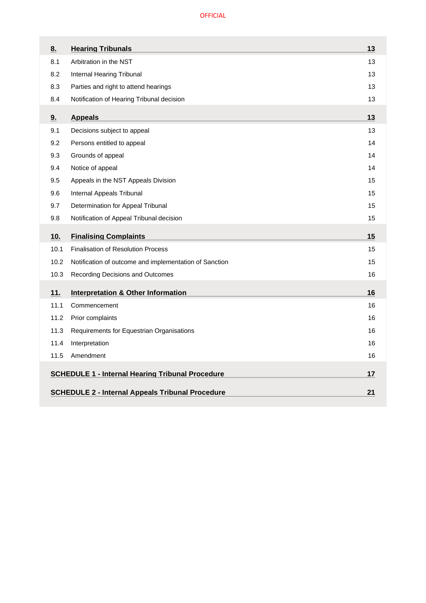| 8.   | <b>Hearing Tribunals</b>                                      | 13 |  |
|------|---------------------------------------------------------------|----|--|
| 8.1  | Arbitration in the NST                                        | 13 |  |
| 8.2  | Internal Hearing Tribunal                                     | 13 |  |
| 8.3  | Parties and right to attend hearings                          | 13 |  |
| 8.4  | Notification of Hearing Tribunal decision                     | 13 |  |
| 9.   | <b>Appeals</b>                                                | 13 |  |
| 9.1  | Decisions subject to appeal                                   | 13 |  |
| 9.2  | Persons entitled to appeal                                    | 14 |  |
| 9.3  | Grounds of appeal                                             | 14 |  |
| 9.4  | Notice of appeal                                              | 14 |  |
| 9.5  | Appeals in the NST Appeals Division                           | 15 |  |
| 9.6  | Internal Appeals Tribunal                                     | 15 |  |
| 9.7  | Determination for Appeal Tribunal                             | 15 |  |
| 9.8  | Notification of Appeal Tribunal decision                      | 15 |  |
| 10.  | <b>Finalising Complaints</b>                                  | 15 |  |
| 10.1 | <b>Finalisation of Resolution Process</b>                     | 15 |  |
| 10.2 | Notification of outcome and implementation of Sanction        | 15 |  |
| 10.3 | Recording Decisions and Outcomes                              | 16 |  |
| 11.  | <b>Interpretation &amp; Other Information</b>                 | 16 |  |
| 11.1 | Commencement                                                  | 16 |  |
| 11.2 | Prior complaints                                              | 16 |  |
| 11.3 | Requirements for Equestrian Organisations                     | 16 |  |
| 11.4 | Interpretation                                                | 16 |  |
| 11.5 | Amendment                                                     | 16 |  |
|      | <b>SCHEDULE 1 - Internal Hearing Tribunal Procedure</b>       | 17 |  |
|      |                                                               |    |  |
|      | <b>SCHEDULE 2 - Internal Appeals Tribunal Procedure</b><br>21 |    |  |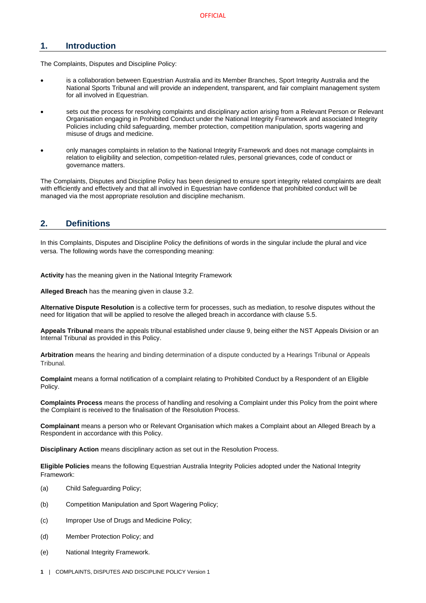# <span id="page-4-0"></span>**1. Introduction**

The Complaints, Disputes and Discipline Policy:

- is a collaboration between Equestrian Australia and its Member Branches, Sport Integrity Australia and the National Sports Tribunal and will provide an independent, transparent, and fair complaint management system for all involved in Equestrian.
- sets out the process for resolving complaints and disciplinary action arising from a Relevant Person or Relevant Organisation engaging in Prohibited Conduct under the National Integrity Framework and associated Integrity Policies including child safeguarding, member protection, competition manipulation, sports wagering and misuse of drugs and medicine.
- only manages complaints in relation to the National Integrity Framework and does not manage complaints in relation to eligibility and selection, competition-related rules, personal grievances, code of conduct or governance matters.

The Complaints, Disputes and Discipline Policy has been designed to ensure sport integrity related complaints are dealt with efficiently and effectively and that all involved in Equestrian have confidence that prohibited conduct will be managed via the most appropriate resolution and discipline mechanism.

# <span id="page-4-1"></span>**2. Definitions**

In this Complaints, Disputes and Discipline Policy the definitions of words in the singular include the plural and vice versa. The following words have the corresponding meaning:

**Activity** has the meaning given in the National Integrity Framework

**Alleged Breach** has the meaning given in clause [3.2.](#page-6-2)

**Alternative Dispute Resolution** is a collective term for processes, such as mediation, to resolve disputes without the need for litigation that will be applied to resolve the alleged breach in accordance with clause [5.5.](#page-11-2)

**Appeals Tribunal** means the appeals tribunal established under clause [9,](#page-16-5) being either the NST Appeals Division or an Internal Tribunal as provided in this Policy.

**Arbitration** means the hearing and binding determination of a dispute conducted by a Hearings Tribunal or Appeals Tribunal.

**Complaint** means a formal notification of a complaint relating to Prohibited Conduct by a Respondent of an Eligible Policy.

**Complaints Process** means the process of handling and resolving a Complaint under this Policy from the point where the Complaint is received to the finalisation of the Resolution Process.

**Complainant** means a person who or Relevant Organisation which makes a Complaint about an Alleged Breach by a Respondent in accordance with this Policy.

**Disciplinary Action** means disciplinary action as set out in the Resolution Process.

**Eligible Policies** means the following Equestrian Australia Integrity Policies adopted under the National Integrity Framework:

- (a) Child Safeguarding Policy;
- (b) Competition Manipulation and Sport Wagering Policy;
- (c) Improper Use of Drugs and Medicine Policy;
- (d) Member Protection Policy; and
- (e) National Integrity Framework.
- **1** | COMPLAINTS, DISPUTES AND DISCIPLINE POLICY Version 1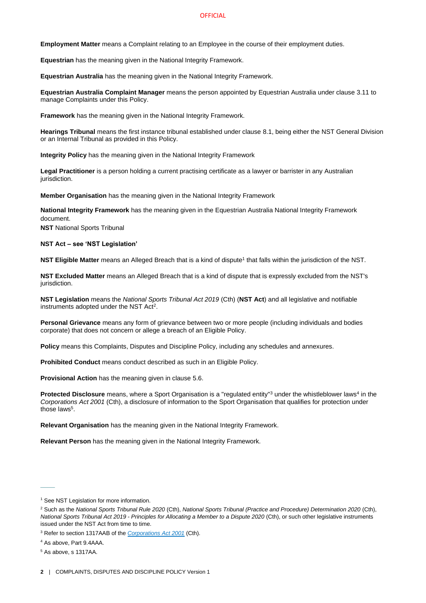**Employment Matter** means a Complaint relating to an Employee in the course of their employment duties.

**Equestrian** has the meaning given in the National Integrity Framework.

**Equestrian Australia** has the meaning given in the National Integrity Framework.

**Equestrian Australia Complaint Manager** means the person appointed by Equestrian Australia under clause [3.11](#page-9-0) to manage Complaints under this Policy.

**Framework** has the meaning given in the National Integrity Framework.

**Hearings Tribunal** means the first instance tribunal established under clause [8.1,](#page-16-1) being either the NST General Division or an Internal Tribunal as provided in this Policy.

**Integrity Policy** has the meaning given in the National Integrity Framework

**Legal Practitioner** is a person holding a current practising certificate as a lawyer or barrister in any Australian jurisdiction.

**Member Organisation** has the meaning given in the National Integrity Framework

**National Integrity Framework** has the meaning given in the Equestrian Australia National Integrity Framework document.

**NST** National Sports Tribunal

#### **NST Act – see 'NST Legislation'**

**NST Eligible Matter** means an Alleged Breach that is a kind of dispute<sup>1</sup> that falls within the jurisdiction of the NST.

**NST Excluded Matter** means an Alleged Breach that is a kind of dispute that is expressly excluded from the NST's jurisdiction.

**NST Legislation** means the *National Sports Tribunal Act 2019* (Cth) (**NST Act**) and all legislative and notifiable instruments adopted under the NST Act<sup>2</sup>.

**Personal Grievance** means any form of grievance between two or more people (including individuals and bodies corporate) that does not concern or allege a breach of an Eligible Policy.

**Policy** means this Complaints, Disputes and Discipline Policy, including any schedules and annexures.

**Prohibited Conduct** means conduct described as such in an Eligible Policy.

**Provisional Action** has the meaning given in clause [5.6.](#page-12-0)

Protected Disclosure means, where a Sport Organisation is a "regulated entity"<sup>3</sup> under the whistleblower laws<sup>4</sup> in the *Corporations Act 2001* (Cth), a disclosure of information to the Sport Organisation that qualifies for protection under those laws<sup>5</sup>.

**Relevant Organisation** has the meaning given in the National Integrity Framework.

**Relevant Person** has the meaning given in the National Integrity Framework.

 $\overline{\phantom{a}}$ 

<sup>&</sup>lt;sup>1</sup> See NST Legislation for more information.

<sup>2</sup> Such as the *National Sports Tribunal Rule 2020* (Cth), *National Sports Tribunal (Practice and Procedure) Determination 2020* (Cth), *National Sports Tribunal Act 2019 - Principles for Allocating a Member to a Dispute 2020* (Cth), or such other legislative instruments issued under the NST Act from time to time.

<sup>3</sup> Refer to section 1317AAB of the *[Corporations Act 2001](https://www.legislation.gov.au/Details/C2020C00093/Html/Volume_5#_Toc33706032)* (Cth).

<sup>4</sup> As above, Part 9.4AAA.

<sup>5</sup> As above, s 1317AA.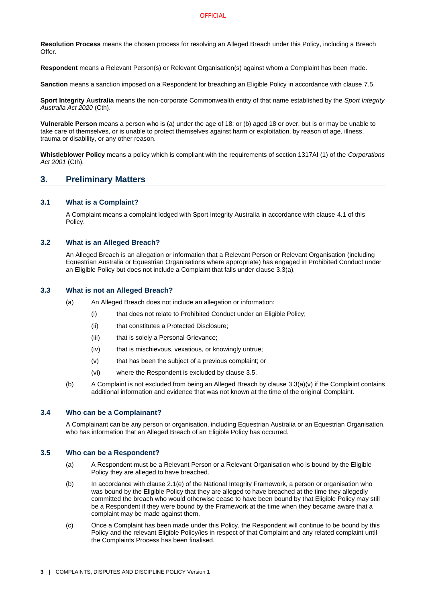**Resolution Process** means the chosen process for resolving an Alleged Breach under this Policy, including a Breach Offer.

**Respondent** means a Relevant Person(s) or Relevant Organisation(s) against whom a Complaint has been made.

**Sanction** means a sanction imposed on a Respondent for breaching an Eligible Policy in accordance with clause [7.5.](#page-15-0)

**Sport Integrity Australia** means the non-corporate Commonwealth entity of that name established by the *Sport Integrity Australia Act 2020* (Cth).

**Vulnerable Person** means a person who is (a) under the age of 18; or (b) aged 18 or over, but is or may be unable to take care of themselves, or is unable to protect themselves against harm or exploitation, by reason of age, illness, trauma or disability, or any other reason.

**Whistleblower Policy** means a policy which is compliant with the requirements of section 1317AI (1) of the *Corporations Act 2001* (Cth).

# <span id="page-6-0"></span>**3. Preliminary Matters**

## <span id="page-6-1"></span>**3.1 What is a Complaint?**

A Complaint means a complaint lodged with Sport Integrity Australia in accordance with clause [4.1](#page-9-4) of this Policy.

## <span id="page-6-2"></span>**3.2 What is an Alleged Breach?**

An Alleged Breach is an allegation or information that a Relevant Person or Relevant Organisation (including Equestrian Australia or Equestrian Organisations where appropriate) has engaged in Prohibited Conduct under an Eligible Policy but does not include a Complaint that falls under clause [3.3\(](#page-6-3)a).

## <span id="page-6-3"></span>**3.3 What is not an Alleged Breach?**

- (a) An Alleged Breach does not include an allegation or information:
	- (i) that does not relate to Prohibited Conduct under an Eligible Policy;
	- (ii) that constitutes a Protected Disclosure;
	- (iii) that is solely a Personal Grievance;
	- (iv) that is mischievous, vexatious, or knowingly untrue;
	- (v) that has been the subject of a previous complaint; or
	- (vi) where the Respondent is excluded by clause [3.5.](#page-6-5)
- <span id="page-6-6"></span>(b) A Complaint is not excluded from being an Alleged Breach by clause [3.3](#page-6-3)[\(a\)\(v\)](#page-6-6) if the Complaint contains additional information and evidence that was not known at the time of the original Complaint.

## <span id="page-6-4"></span>**3.4 Who can be a Complainant?**

A Complainant can be any person or organisation, including Equestrian Australia or an Equestrian Organisation, who has information that an Alleged Breach of an Eligible Policy has occurred.

## <span id="page-6-5"></span>**3.5 Who can be a Respondent?**

- (a) A Respondent must be a Relevant Person or a Relevant Organisation who is bound by the Eligible Policy they are alleged to have breached.
- (b) In accordance with clause 2.1(e) of the National Integrity Framework, a person or organisation who was bound by the Eligible Policy that they are alleged to have breached at the time they allegedly committed the breach who would otherwise cease to have been bound by that Eligible Policy may still be a Respondent if they were bound by the Framework at the time when they became aware that a complaint may be made against them.
- (c) Once a Complaint has been made under this Policy, the Respondent will continue to be bound by this Policy and the relevant Eligible Policy/ies in respect of that Complaint and any related complaint until the Complaints Process has been finalised.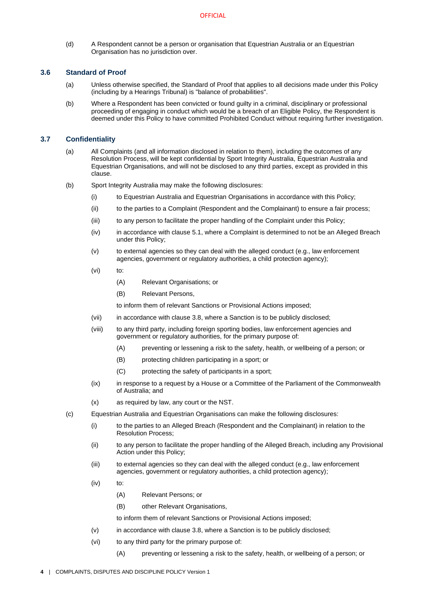(d) A Respondent cannot be a person or organisation that Equestrian Australia or an Equestrian Organisation has no jurisdiction over.

## <span id="page-7-0"></span>**3.6 Standard of Proof**

- (a) Unless otherwise specified, the Standard of Proof that applies to all decisions made under this Policy (including by a Hearings Tribunal) is "balance of probabilities".
- (b) Where a Respondent has been convicted or found guilty in a criminal, disciplinary or professional proceeding of engaging in conduct which would be a breach of an Eligible Policy, the Respondent is deemed under this Policy to have committed Prohibited Conduct without requiring further investigation.

## <span id="page-7-1"></span>**3.7 Confidentiality**

- (a) All Complaints (and all information disclosed in relation to them), including the outcomes of any Resolution Process, will be kept confidential by Sport Integrity Australia, Equestrian Australia and Equestrian Organisations, and will not be disclosed to any third parties, except as provided in this clause.
- (b) Sport Integrity Australia may make the following disclosures:
	- (i) to Equestrian Australia and Equestrian Organisations in accordance with this Policy;
	- (ii) to the parties to a Complaint (Respondent and the Complainant) to ensure a fair process;
	- (iii) to any person to facilitate the proper handling of the Complaint under this Policy;
	- (iv) in accordance with claus[e 5.1,](#page-9-7) where a Complaint is determined to not be an Alleged Breach under this Policy;
	- $(v)$  to external agencies so they can deal with the alleged conduct (e.g., law enforcement agencies, government or regulatory authorities, a child protection agency);
	- (vi) to:
		- (A) Relevant Organisations; or
		- (B) Relevant Persons,

to inform them of relevant Sanctions or Provisional Actions imposed;

- (vii) in accordance with claus[e 3.8,](#page-8-0) where a Sanction is to be publicly disclosed;
- (viii) to any third party, including foreign sporting bodies, law enforcement agencies and government or regulatory authorities, for the primary purpose of:
	- (A) preventing or lessening a risk to the safety, health, or wellbeing of a person; or
	- (B) protecting children participating in a sport; or
	- (C) protecting the safety of participants in a sport;
- (ix) in response to a request by a House or a Committee of the Parliament of the Commonwealth of Australia; and
- (x) as required by law, any court or the NST.
- (c) Equestrian Australia and Equestrian Organisations can make the following disclosures:
	- (i) to the parties to an Alleged Breach (Respondent and the Complainant) in relation to the Resolution Process;
	- (ii) to any person to facilitate the proper handling of the Alleged Breach, including any Provisional Action under this Policy;
	- (iii) to external agencies so they can deal with the alleged conduct (e.g., law enforcement agencies, government or regulatory authorities, a child protection agency);
	- (iv) to:
		- (A) Relevant Persons; or
		- (B) other Relevant Organisations,

to inform them of relevant Sanctions or Provisional Actions imposed;

- <span id="page-7-2"></span>(v) in accordance with claus[e 3.8,](#page-8-0) where a Sanction is to be publicly disclosed;
- <span id="page-7-3"></span>(vi) to any third party for the primary purpose of:
	- (A) preventing or lessening a risk to the safety, health, or wellbeing of a person; or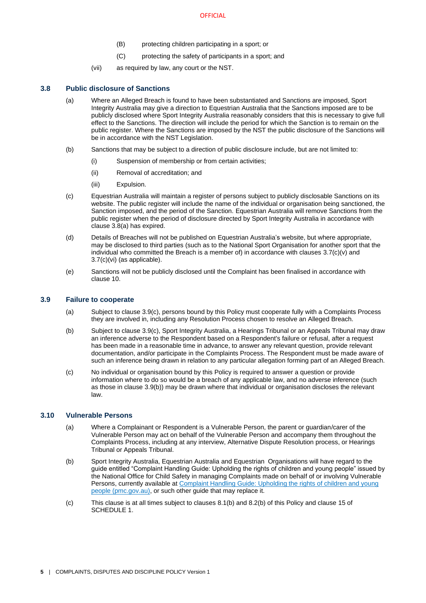- (B) protecting children participating in a sport; or
- (C) protecting the safety of participants in a sport; and
- (vii) as required by law, any court or the NST.

## <span id="page-8-3"></span><span id="page-8-0"></span>**3.8 Public disclosure of Sanctions**

- (a) Where an Alleged Breach is found to have been substantiated and Sanctions are imposed, Sport Integrity Australia may give a direction to Equestrian Australia that the Sanctions imposed are to be publicly disclosed where Sport Integrity Australia reasonably considers that this is necessary to give full effect to the Sanctions. The direction will include the period for which the Sanction is to remain on the public register. Where the Sanctions are imposed by the NST the public disclosure of the Sanctions will be in accordance with the NST Legislation.
- (b) Sanctions that may be subject to a direction of public disclosure include, but are not limited to:
	- (i) Suspension of membership or from certain activities;
		- (ii) Removal of accreditation; and
		- (iii) Expulsion.
- <span id="page-8-6"></span>(c) Equestrian Australia will maintain a register of persons subject to publicly disclosable Sanctions on its website. The public register will include the name of the individual or organisation being sanctioned, the Sanction imposed, and the period of the Sanction. Equestrian Australia will remove Sanctions from the public register when the period of disclosure directed by Sport Integrity Australia in accordance with clause [3.8](#page-8-0)[\(a\)](#page-8-3) has expired.
- (d) Details of Breaches will not be published on Equestrian Australia's website, but where appropriate, may be disclosed to third parties (such as to the National Sport Organisation for another sport that the individual who committed the Breach is a member of) in accordance with clauses  $3.7(c)(v)$  $3.7(c)(v)$  and [3.7](#page-7-1)[\(c\)\(vi\)](#page-7-3) (as applicable).
- (e) Sanctions will not be publicly disclosed until the Complaint has been finalised in accordance with clause [10.](#page-18-4)

## <span id="page-8-1"></span>**3.9 Failure to cooperate**

- (a) Subject to clause [3.9](#page-8-1)[\(c\),](#page-8-4) persons bound by this Policy must cooperate fully with a Complaints Process they are involved in, including any Resolution Process chosen to resolve an Alleged Breach.
- <span id="page-8-5"></span>(b) Subject to clause [3.9](#page-8-1)[\(c\),](#page-8-4) Sport Integrity Australia, a Hearings Tribunal or an Appeals Tribunal may draw an inference adverse to the Respondent based on a Respondent's failure or refusal, after a request has been made in a reasonable time in advance, to answer any relevant question, provide relevant documentation, and/or participate in the Complaints Process. The Respondent must be made aware of such an inference being drawn in relation to any particular allegation forming part of an Alleged Breach.
- <span id="page-8-4"></span>(c) No individual or organisation bound by this Policy is required to answer a question or provide information where to do so would be a breach of any applicable law, and no adverse inference (such as those in clause [3.9](#page-8-1)[\(b\)\)](#page-8-5) may be drawn where that individual or organisation discloses the relevant law.

# <span id="page-8-2"></span>**3.10 Vulnerable Persons**

- (a) Where a Complainant or Respondent is a Vulnerable Person, the parent or guardian/carer of the Vulnerable Person may act on behalf of the Vulnerable Person and accompany them throughout the Complaints Process, including at any interview, Alternative Dispute Resolution process, or Hearings Tribunal or Appeals Tribunal.
- (b) Sport Integrity Australia, Equestrian Australia and Equestrian Organisations will have regard to the guide entitled "Complaint Handling Guide: Upholding the rights of children and young people" issued by the National Office for Child Safety in managing Complaints made on behalf of or involving Vulnerable Persons, currently available a[t Complaint Handling Guide: Upholding the rights of children and young](https://childsafety.pmc.gov.au/sites/default/files/2020-09/nocs-complaint-handling-guide.pdf)  [people \(pmc.gov.au\),](https://childsafety.pmc.gov.au/sites/default/files/2020-09/nocs-complaint-handling-guide.pdf) or such other guide that may replace it.
- (c) This clause is at all times subject to clauses [8.1\(b\)](#page-16-7) an[d 8.2\(b\)](#page-16-8) of this Policy and clause 15 of [SCHEDULE 1.](#page-20-0)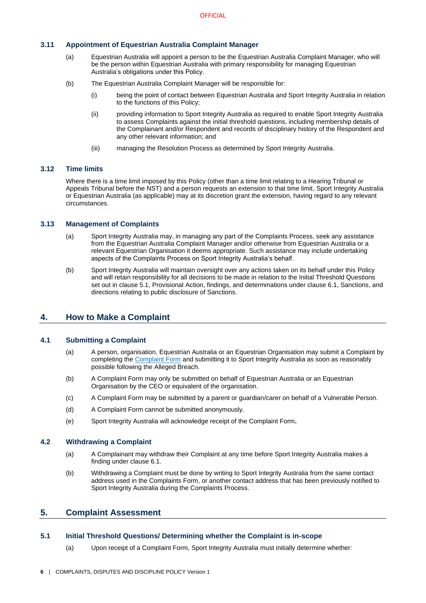# <span id="page-9-0"></span>**3.11 Appointment of Equestrian Australia Complaint Manager**

- (a) Equestrian Australia will appoint a person to be the Equestrian Australia Complaint Manager, who will be the person within Equestrian Australia with primary responsibility for managing Equestrian Australia's obligations under this Policy.
- (b) The Equestrian Australia Complaint Manager will be responsible for:
	- (i) being the point of contact between Equestrian Australia and Sport Integrity Australia in relation to the functions of this Policy;
	- (ii) providing information to Sport Integrity Australia as required to enable Sport Integrity Australia to assess Complaints against the initial threshold questions, including membership details of the Complainant and/or Respondent and records of disciplinary history of the Respondent and any other relevant information; and
	- (iii) managing the Resolution Process as determined by Sport Integrity Australia.

# <span id="page-9-1"></span>**3.12 Time limits**

Where there is a time limit imposed by this Policy (other than a time limit relating to a Hearing Tribunal or Appeals Tribunal before the NST) and a person requests an extension to that time limit, Sport Integrity Australia or Equestrian Australia (as applicable) may at its discretion grant the extension, having regard to any relevant circumstances.

# <span id="page-9-2"></span>**3.13 Management of Complaints**

- (a) Sport Integrity Australia may, in managing any part of the Complaints Process, seek any assistance from the Equestrian Australia Complaint Manager and/or otherwise from Equestrian Australia or a relevant Equestrian Organisation it deems appropriate. Such assistance may include undertaking aspects of the Complaints Process on Sport Integrity Australia's behalf.
- (b) Sport Integrity Australia will maintain oversight over any actions taken on its behalf under this Policy and will retain responsibility for all decisions to be made in relation to the Initial Threshold Questions set out in clause 5.1, Provisional Action, findings, and determinations under clause [6.1,](#page-13-2) Sanctions, and directions relating to public disclosure of Sanctions.

# <span id="page-9-3"></span>**4. How to Make a Complaint**

## <span id="page-9-4"></span>**4.1 Submitting a Complaint**

- (a) A person, organisation, Equestrian Australia or an Equestrian Organisation may submit a Complaint by completing th[e Complaint Form](https://www.sportintegrity.gov.au/contact-us/anonymously-report-integrity-issues) and submitting it to Sport Integrity Australia as soon as reasonably possible following the Alleged Breach.
- (b) A Complaint Form may only be submitted on behalf of Equestrian Australia or an Equestrian Organisation by the CEO or equivalent of the organisation.
- (c) A Complaint Form may be submitted by a parent or guardian/carer on behalf of a Vulnerable Person.
- (d) A Complaint Form cannot be submitted anonymously.
- (e) Sport Integrity Australia will acknowledge receipt of the Complaint Form**.**

## <span id="page-9-5"></span>**4.2 Withdrawing a Complaint**

- (a) A Complainant may withdraw their Complaint at any time before Sport Integrity Australia makes a finding under claus[e 6.1.](#page-13-2)
- (b) Withdrawing a Complaint must be done by writing to Sport Integrity Australia from the same contact address used in the Complaints Form, or another contact address that has been previously notified to Sport Integrity Australia during the Complaints Process.

# <span id="page-9-6"></span>**5. Complaint Assessment**

## <span id="page-9-7"></span>**5.1 Initial Threshold Questions/ Determining whether the Complaint is in-scope**

(a) Upon receipt of a Complaint Form, Sport Integrity Australia must initially determine whether: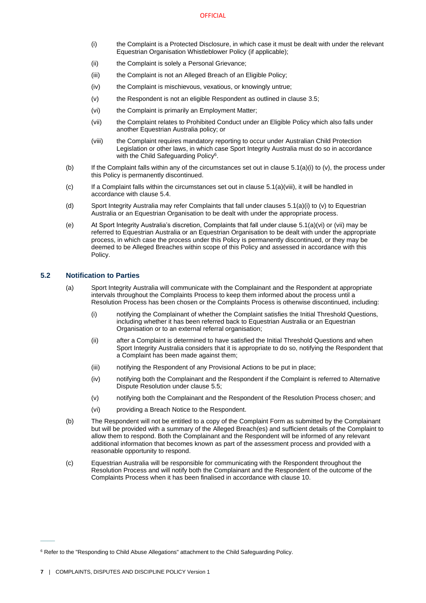- <span id="page-10-1"></span>(i) the Complaint is a Protected Disclosure, in which case it must be dealt with under the relevant Equestrian Organisation Whistleblower Policy (if applicable);
- (ii) the Complaint is solely a Personal Grievance;
- (iii) the Complaint is not an Alleged Breach of an Eligible Policy;
- (iv) the Complaint is mischievous, vexatious, or knowingly untrue;
- <span id="page-10-2"></span>(v) the Respondent is not an eligible Respondent as outlined in clause [3.5;](#page-6-5)
- <span id="page-10-4"></span>(vi) the Complaint is primarily an Employment Matter;
- <span id="page-10-5"></span>(vii) the Complaint relates to Prohibited Conduct under an Eligible Policy which also falls under another Equestrian Australia policy; or
- (viii) the Complaint requires mandatory reporting to occur under Australian Child Protection Legislation or other laws, in which case Sport Integrity Australia must do so in accordance with the Child Safeguarding Policy<sup>6</sup>.
- <span id="page-10-3"></span>(b) If the Complaint falls within any of the circumstances set out in clause  $5.1(a)(i)$  t[o \(v\),](#page-10-2) the process under this Policy is permanently discontinued.
- $(c)$  If a Complaint falls within the circumstances set out in clause [5.1\(a\)\(viii\),](#page-10-3) it will be handled in accordance with claus[e 5.4.](#page-11-1)
- (d) Sport Integrity Australia may refer Complaints that fall under clause[s 5.1\(a\)\(i\)](#page-10-1) t[o \(v\)](#page-10-2) to Equestrian Australia or an Equestrian Organisation to be dealt with under the appropriate process.
- (e) At Sport Integrity Australia's discretion, Complaints that fall under claus[e 5.1\(a\)\(vi\)](#page-10-4) o[r \(vii\)](#page-10-5) may be referred to Equestrian Australia or an Equestrian Organisation to be dealt with under the appropriate process, in which case the process under this Policy is permanently discontinued, or they may be deemed to be Alleged Breaches within scope of this Policy and assessed in accordance with this Policy.

# <span id="page-10-0"></span>**5.2 Notification to Parties**

- (a) Sport Integrity Australia will communicate with the Complainant and the Respondent at appropriate intervals throughout the Complaints Process to keep them informed about the process until a Resolution Process has been chosen or the Complaints Process is otherwise discontinued, including:
	- (i) notifying the Complainant of whether the Complaint satisfies the Initial Threshold Questions, including whether it has been referred back to Equestrian Australia or an Equestrian Organisation or to an external referral organisation;
	- (ii) after a Complaint is determined to have satisfied the Initial Threshold Questions and when Sport Integrity Australia considers that it is appropriate to do so, notifying the Respondent that a Complaint has been made against them;
	- (iii) notifying the Respondent of any Provisional Actions to be put in place;
	- (iv) notifying both the Complainant and the Respondent if the Complaint is referred to Alternative Dispute Resolution under clause [5.5;](#page-11-2)
	- (v) notifying both the Complainant and the Respondent of the Resolution Process chosen; and
	- (vi) providing a Breach Notice to the Respondent.
- (b) The Respondent will not be entitled to a copy of the Complaint Form as submitted by the Complainant but will be provided with a summary of the Alleged Breach(es) and sufficient details of the Complaint to allow them to respond. Both the Complainant and the Respondent will be informed of any relevant additional information that becomes known as part of the assessment process and provided with a reasonable opportunity to respond.
- (c) Equestrian Australia will be responsible for communicating with the Respondent throughout the Resolution Process and will notify both the Complainant and the Respondent of the outcome of the Complaints Process when it has been finalised in accordance with clause [10.](#page-18-4)

 $\overline{\phantom{a}}$ 

<sup>&</sup>lt;sup>6</sup> Refer to the "Responding to Child Abuse Allegations" attachment to the Child Safeguarding Policy.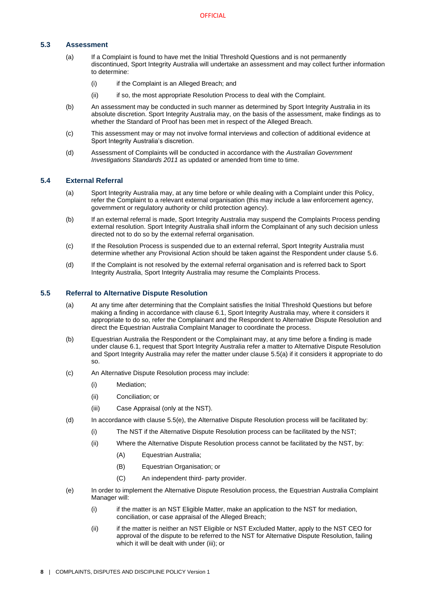# <span id="page-11-0"></span>**5.3 Assessment**

- (a) If a Complaint is found to have met the Initial Threshold Questions and is not permanently discontinued, Sport Integrity Australia will undertake an assessment and may collect further information to determine:
	- (i) if the Complaint is an Alleged Breach; and
	- (ii) if so, the most appropriate Resolution Process to deal with the Complaint.
- (b) An assessment may be conducted in such manner as determined by Sport Integrity Australia in its absolute discretion. Sport Integrity Australia may, on the basis of the assessment, make findings as to whether the Standard of Proof has been met in respect of the Alleged Breach.
- (c) This assessment may or may not involve formal interviews and collection of additional evidence at Sport Integrity Australia's discretion.
- (d) Assessment of Complaints will be conducted in accordance with the *Australian Government Investigations Standards 2011* as updated or amended from time to time.

## <span id="page-11-1"></span>**5.4 External Referral**

- (a) Sport Integrity Australia may, at any time before or while dealing with a Complaint under this Policy, refer the Complaint to a relevant external organisation (this may include a law enforcement agency, government or regulatory authority or child protection agency).
- (b) If an external referral is made, Sport Integrity Australia may suspend the Complaints Process pending external resolution. Sport Integrity Australia shall inform the Complainant of any such decision unless directed not to do so by the external referral organisation.
- (c) If the Resolution Process is suspended due to an external referral, Sport Integrity Australia must determine whether any Provisional Action should be taken against the Respondent under clause [5.6.](#page-12-0)
- (d) If the Complaint is not resolved by the external referral organisation and is referred back to Sport Integrity Australia, Sport Integrity Australia may resume the Complaints Process.

## <span id="page-11-3"></span><span id="page-11-2"></span>**5.5 Referral to Alternative Dispute Resolution**

- (a) At any time after determining that the Complaint satisfies the Initial Threshold Questions but before making a finding in accordance with clause 6.1, Sport Integrity Australia may, where it considers it appropriate to do so, refer the Complainant and the Respondent to Alternative Dispute Resolution and direct the Equestrian Australia Complaint Manager to coordinate the process.
- (b) Equestrian Australia the Respondent or the Complainant may, at any time before a finding is made under claus[e 6.1,](#page-13-2) request that Sport Integrity Australia refer a matter to Alternative Dispute Resolution and Sport Integrity Australia may refer the matter under clause [5.5\(a\)](#page-11-3) if it considers it appropriate to do so.
- (c) An Alternative Dispute Resolution process may include:
	- (i) Mediation;
	- (ii) Conciliation; or
	- (iii) Case Appraisal (only at the NST).
- (d) In accordance with claus[e 5.5](#page-11-2)[\(e\),](#page-11-4) the Alternative Dispute Resolution process will be facilitated by:
	- (i) The NST if the Alternative Dispute Resolution process can be facilitated by the NST;
	- (ii) Where the Alternative Dispute Resolution process cannot be facilitated by the NST, by:
		- (A) Equestrian Australia;
		- (B) Equestrian Organisation; or
		- (C) An independent third- party provider.
- <span id="page-11-4"></span>(e) In order to implement the Alternative Dispute Resolution process, the Equestrian Australia Complaint Manager will:
	- (i) if the matter is an NST Eligible Matter, make an application to the NST for mediation, conciliation, or case appraisal of the Alleged Breach;
	- (ii) if the matter is neither an NST Eligible or NST Excluded Matter, apply to the NST CEO for approval of the dispute to be referred to the NST for Alternative Dispute Resolution, failing which it will be dealt with under (iii); or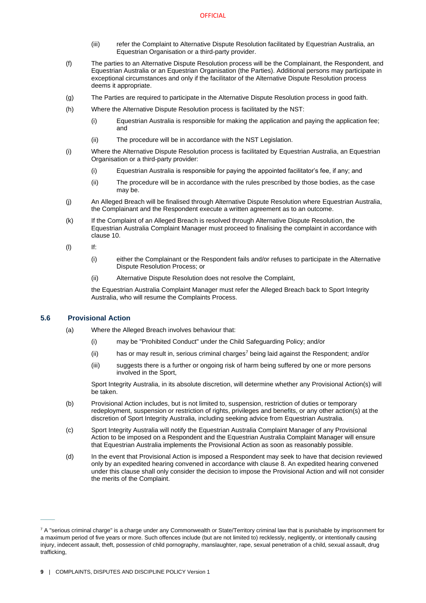- (iii) refer the Complaint to Alternative Dispute Resolution facilitated by Equestrian Australia, an Equestrian Organisation or a third-party provider.
- (f) The parties to an Alternative Dispute Resolution process will be the Complainant, the Respondent, and Equestrian Australia or an Equestrian Organisation (the Parties). Additional persons may participate in exceptional circumstances and only if the facilitator of the Alternative Dispute Resolution process deems it appropriate.
- (g) The Parties are required to participate in the Alternative Dispute Resolution process in good faith.
- (h) Where the Alternative Dispute Resolution process is facilitated by the NST:
	- (i) Equestrian Australia is responsible for making the application and paying the application fee; and
	- (ii) The procedure will be in accordance with the NST Legislation.
- (i) Where the Alternative Dispute Resolution process is facilitated by Equestrian Australia, an Equestrian Organisation or a third-party provider:
	- (i) Equestrian Australia is responsible for paying the appointed facilitator's fee, if any; and
	- (ii) The procedure will be in accordance with the rules prescribed by those bodies, as the case may be.
- (j) An Alleged Breach will be finalised through Alternative Dispute Resolution where Equestrian Australia, the Complainant and the Respondent execute a written agreement as to an outcome.
- (k) If the Complaint of an Alleged Breach is resolved through Alternative Dispute Resolution, the Equestrian Australia Complaint Manager must proceed to finalising the complaint in accordance with clause [10.](#page-18-4)
- (l) If:
	- (i) either the Complainant or the Respondent fails and/or refuses to participate in the Alternative Dispute Resolution Process; or
	- (ii) Alternative Dispute Resolution does not resolve the Complaint,

the Equestrian Australia Complaint Manager must refer the Alleged Breach back to Sport Integrity Australia, who will resume the Complaints Process.

# **5.6 Provisional Action**

 $\overline{\phantom{a}}$ 

- <span id="page-12-0"></span>(a) Where the Alleged Breach involves behaviour that:
	- (i) may be "Prohibited Conduct" under the Child Safeguarding Policy; and/or
	- $(i)$  has or may result in, serious criminal charges<sup>7</sup> being laid against the Respondent; and/or
	- (iii) suggests there is a further or ongoing risk of harm being suffered by one or more persons involved in the Sport,

Sport Integrity Australia, in its absolute discretion, will determine whether any Provisional Action(s) will be taken.

- (b) Provisional Action includes, but is not limited to, suspension, restriction of duties or temporary redeployment, suspension or restriction of rights, privileges and benefits, or any other action(s) at the discretion of Sport Integrity Australia, including seeking advice from Equestrian Australia.
- (c) Sport Integrity Australia will notify the Equestrian Australia Complaint Manager of any Provisional Action to be imposed on a Respondent and the Equestrian Australia Complaint Manager will ensure that Equestrian Australia implements the Provisional Action as soon as reasonably possible.
- (d) In the event that Provisional Action is imposed a Respondent may seek to have that decision reviewed only by an expedited hearing convened in accordance with clause 8. An expedited hearing convened under this clause shall only consider the decision to impose the Provisional Action and will not consider the merits of the Complaint.

 $7$  A "serious criminal charge" is a charge under any Commonwealth or State/Territory criminal law that is punishable by imprisonment for a maximum period of five years or more. Such offences include (but are not limited to) recklessly, negligently, or intentionally causing injury, indecent assault, theft, possession of child pornography, manslaughter, rape, sexual penetration of a child, sexual assault, drug trafficking,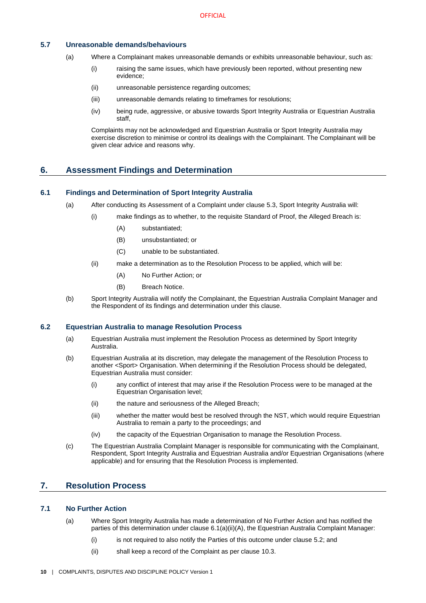# <span id="page-13-0"></span>**5.7 Unreasonable demands/behaviours**

- (a) Where a Complainant makes unreasonable demands or exhibits unreasonable behaviour, such as:
	- (i) raising the same issues, which have previously been reported, without presenting new evidence;
	- (ii) unreasonable persistence regarding outcomes;
	- (iii) unreasonable demands relating to timeframes for resolutions;
	- (iv) being rude, aggressive, or abusive towards Sport Integrity Australia or Equestrian Australia staff,

Complaints may not be acknowledged and Equestrian Australia or Sport Integrity Australia may exercise discretion to minimise or control its dealings with the Complainant. The Complainant will be given clear advice and reasons why.

# <span id="page-13-1"></span>**6. Assessment Findings and Determination**

## <span id="page-13-2"></span>**6.1 Findings and Determination of Sport Integrity Australia**

- (a) After conducting its Assessment of a Complaint under claus[e 5.3,](#page-11-0) Sport Integrity Australia will:
	- (i) make findings as to whether, to the requisite Standard of Proof, the Alleged Breach is:
		- (A) substantiated;
		- (B) unsubstantiated; or
		- (C) unable to be substantiated.
	- (ii) make a determination as to the Resolution Process to be applied, which will be:
		- (A) No Further Action; or
		- (B) Breach Notice.
- <span id="page-13-7"></span><span id="page-13-6"></span>(b) Sport Integrity Australia will notify the Complainant, the Equestrian Australia Complaint Manager and the Respondent of its findings and determination under this clause.

# <span id="page-13-3"></span>**6.2 Equestrian Australia to manage Resolution Process**

- (a) Equestrian Australia must implement the Resolution Process as determined by Sport Integrity Australia.
- <span id="page-13-8"></span>(b) Equestrian Australia at its discretion, may delegate the management of the Resolution Process to another <Sport> Organisation. When determining if the Resolution Process should be delegated, Equestrian Australia must consider:
	- (i) any conflict of interest that may arise if the Resolution Process were to be managed at the Equestrian Organisation level;
	- (ii) the nature and seriousness of the Alleged Breach;
	- (iii) whether the matter would best be resolved through the NST, which would require Equestrian Australia to remain a party to the proceedings; and
	- (iv) the capacity of the Equestrian Organisation to manage the Resolution Process.
- (c) The Equestrian Australia Complaint Manager is responsible for communicating with the Complainant, Respondent, Sport Integrity Australia and Equestrian Australia and/or Equestrian Organisations (where applicable) and for ensuring that the Resolution Process is implemented.

# <span id="page-13-4"></span>**7. Resolution Process**

## <span id="page-13-5"></span>**7.1 No Further Action**

- (a) Where Sport Integrity Australia has made a determination of No Further Action and has notified the parties of this determination under claus[e 6.1\(a\)\(ii\)\(A\),](#page-13-6) the Equestrian Australia Complaint Manager:
	- (i) is not required to also notify the Parties of this outcome under claus[e 5.2;](#page-10-0) and
	- (ii) shall keep a record of the Complaint as per clause [10.3.](#page-19-0)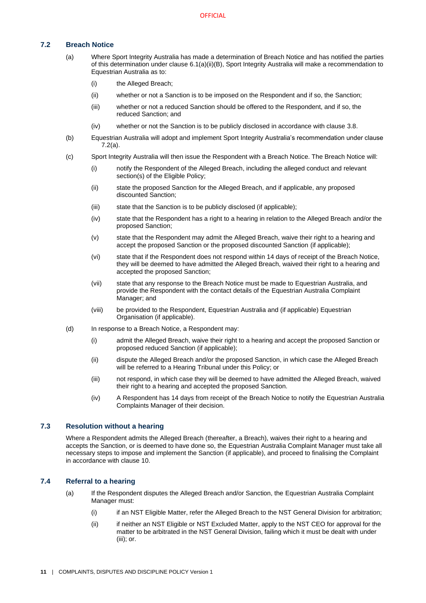## <span id="page-14-3"></span><span id="page-14-0"></span>**7.2 Breach Notice**

- (a) Where Sport Integrity Australia has made a determination of Breach Notice and has notified the parties of this determination under clause [6.1\(a\)\(ii\)\(B\),](#page-13-7) Sport Integrity Australia will make a recommendation to Equestrian Australia as to:
	- (i) the Alleged Breach;
	- (ii) whether or not a Sanction is to be imposed on the Respondent and if so, the Sanction;
	- (iii) whether or not a reduced Sanction should be offered to the Respondent, and if so, the reduced Sanction; and
	- (iv) whether or not the Sanction is to be publicly disclosed in accordance with clause [3.8.](#page-8-0)
- (b) Equestrian Australia will adopt and implement Sport Integrity Australia's recommendation under clause [7.2\(a\).](#page-14-3)
- (c) Sport Integrity Australia will then issue the Respondent with a Breach Notice. The Breach Notice will:
	- (i) notify the Respondent of the Alleged Breach, including the alleged conduct and relevant section(s) of the Eligible Policy;
	- (ii) state the proposed Sanction for the Alleged Breach, and if applicable, any proposed discounted Sanction;
	- (iii) state that the Sanction is to be publicly disclosed (if applicable);
	- (iv) state that the Respondent has a right to a hearing in relation to the Alleged Breach and/or the proposed Sanction;
	- (v) state that the Respondent may admit the Alleged Breach, waive their right to a hearing and accept the proposed Sanction or the proposed discounted Sanction (if applicable);
	- (vi) state that if the Respondent does not respond within 14 days of receipt of the Breach Notice, they will be deemed to have admitted the Alleged Breach, waived their right to a hearing and accepted the proposed Sanction;
	- (vii) state that any response to the Breach Notice must be made to Equestrian Australia, and provide the Respondent with the contact details of the Equestrian Australia Complaint Manager; and
	- (viii) be provided to the Respondent, Equestrian Australia and (if applicable) Equestrian Organisation (if applicable).
- <span id="page-14-4"></span>(d) In response to a Breach Notice, a Respondent may:
	- (i) admit the Alleged Breach, waive their right to a hearing and accept the proposed Sanction or proposed reduced Sanction (if applicable);
	- (ii) dispute the Alleged Breach and/or the proposed Sanction, in which case the Alleged Breach will be referred to a Hearing Tribunal under this Policy; or
	- (iii) not respond, in which case they will be deemed to have admitted the Alleged Breach, waived their right to a hearing and accepted the proposed Sanction.
	- (iv) A Respondent has 14 days from receipt of the Breach Notice to notify the Equestrian Australia Complaints Manager of their decision.

## <span id="page-14-1"></span>**7.3 Resolution without a hearing**

Where a Respondent admits the Alleged Breach (thereafter, a Breach), waives their right to a hearing and accepts the Sanction, or is deemed to have done so, the Equestrian Australia Complaint Manager must take all necessary steps to impose and implement the Sanction (if applicable), and proceed to finalising the Complaint in accordance with claus[e 10.](#page-18-4)

# <span id="page-14-2"></span>**7.4 Referral to a hearing**

- (a) If the Respondent disputes the Alleged Breach and/or Sanction, the Equestrian Australia Complaint Manager must:
	- (i) if an NST Eligible Matter, refer the Alleged Breach to the NST General Division for arbitration;
	- (ii) if neither an NST Eligible or NST Excluded Matter, apply to the NST CEO for approval for the matter to be arbitrated in the NST General Division, failing which it must be dealt with under (iii); or.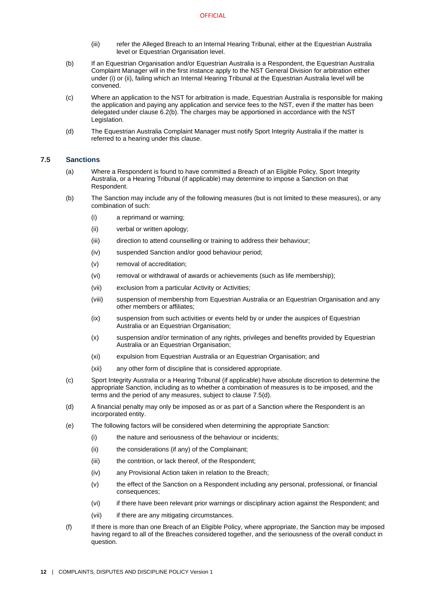- (iii) refer the Alleged Breach to an Internal Hearing Tribunal, either at the Equestrian Australia level or Equestrian Organisation level.
- (b) If an Equestrian Organisation and/or Equestrian Australia is a Respondent, the Equestrian Australia Complaint Manager will in the first instance apply to the NST General Division for arbitration either under (i) or (ii), failing which an Internal Hearing Tribunal at the Equestrian Australia level will be convened.
- (c) Where an application to the NST for arbitration is made, Equestrian Australia is responsible for making the application and paying any application and service fees to the NST, even if the matter has been delegated under claus[e 6.2\(b\).](#page-13-8) The charges may be apportioned in accordance with the NST Legislation.
- (d) The Equestrian Australia Complaint Manager must notify Sport Integrity Australia if the matter is referred to a hearing under this clause.

## <span id="page-15-0"></span>**7.5 Sanctions**

- (a) Where a Respondent is found to have committed a Breach of an Eligible Policy, Sport Integrity Australia, or a Hearing Tribunal (if applicable) may determine to impose a Sanction on that Respondent.
- (b) The Sanction may include any of the following measures (but is not limited to these measures), or any combination of such:
	- (i) a reprimand or warning;
	- (ii) verbal or written apology;
	- (iii) direction to attend counselling or training to address their behaviour;
	- (iv) suspended Sanction and/or good behaviour period;
	- (v) removal of accreditation;
	- (vi) removal or withdrawal of awards or achievements (such as life membership);
	- (vii) exclusion from a particular Activity or Activities;
	- (viii) suspension of membership from Equestrian Australia or an Equestrian Organisation and any other members or affiliates;
	- (ix) suspension from such activities or events held by or under the auspices of Equestrian Australia or an Equestrian Organisation;
	- (x) suspension and/or termination of any rights, privileges and benefits provided by Equestrian Australia or an Equestrian Organisation;
	- (xi) expulsion from Equestrian Australia or an Equestrian Organisation; and
	- (xii) any other form of discipline that is considered appropriate.
- (c) Sport Integrity Australia or a Hearing Tribunal (if applicable) have absolute discretion to determine the appropriate Sanction, including as to whether a combination of measures is to be imposed, and the terms and the period of any measures, subject to claus[e 7.5\(d\).](#page-15-1)
- <span id="page-15-1"></span>(d) A financial penalty may only be imposed as or as part of a Sanction where the Respondent is an incorporated entity.
- (e) The following factors will be considered when determining the appropriate Sanction:
	- (i) the nature and seriousness of the behaviour or incidents;
	- (ii) the considerations (if any) of the Complainant;
	- (iii) the contrition, or lack thereof, of the Respondent;
	- (iv) any Provisional Action taken in relation to the Breach;
	- (v) the effect of the Sanction on a Respondent including any personal, professional, or financial consequences;
	- (vi) if there have been relevant prior warnings or disciplinary action against the Respondent; and
	- (vii) if there are any mitigating circumstances.
- (f) If there is more than one Breach of an Eligible Policy, where appropriate, the Sanction may be imposed having regard to all of the Breaches considered together, and the seriousness of the overall conduct in question.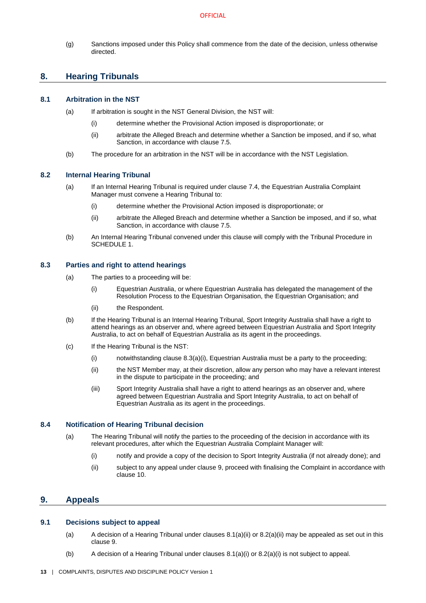(g) Sanctions imposed under this Policy shall commence from the date of the decision, unless otherwise directed.

# <span id="page-16-0"></span>**8. Hearing Tribunals**

# <span id="page-16-12"></span><span id="page-16-1"></span>**8.1 Arbitration in the NST**

- (a) If arbitration is sought in the NST General Division, the NST will:
	- (i) determine whether the Provisional Action imposed is disproportionate; or
	- (ii) arbitrate the Alleged Breach and determine whether a Sanction be imposed, and if so, what Sanction, in accordance with claus[e 7.5.](#page-15-0)
- <span id="page-16-10"></span>(b) The procedure for an arbitration in the NST will be in accordance with the NST Legislation.

## <span id="page-16-13"></span><span id="page-16-7"></span><span id="page-16-2"></span>**8.2 Internal Hearing Tribunal**

- (a) If an Internal Hearing Tribunal is required under claus[e 7.4,](#page-14-2) the Equestrian Australia Complaint Manager must convene a Hearing Tribunal to:
	- (i) determine whether the Provisional Action imposed is disproportionate; or
	- (ii) arbitrate the Alleged Breach and determine whether a Sanction be imposed, and if so, what Sanction, in accordance with claus[e 7.5.](#page-15-0)
- <span id="page-16-11"></span><span id="page-16-8"></span>(b) An Internal Hearing Tribunal convened under this clause will comply with the Tribunal Procedure in [SCHEDULE 1.](#page-20-0)

## <span id="page-16-9"></span><span id="page-16-3"></span>**8.3 Parties and right to attend hearings**

- (a) The parties to a proceeding will be:
	- (i) Equestrian Australia, or where Equestrian Australia has delegated the management of the Resolution Process to the Equestrian Organisation, the Equestrian Organisation; and
	- (ii) the Respondent.
- (b) If the Hearing Tribunal is an Internal Hearing Tribunal, Sport Integrity Australia shall have a right to attend hearings as an observer and, where agreed between Equestrian Australia and Sport Integrity Australia, to act on behalf of Equestrian Australia as its agent in the proceedings.
- (c) If the Hearing Tribunal is the NST:
	- (i) notwithstanding clause  $8.3(a)(i)$ , Equestrian Australia must be a party to the proceeding;
	- (ii) the NST Member may, at their discretion, allow any person who may have a relevant interest in the dispute to participate in the proceeding; and
	- (iii) Sport Integrity Australia shall have a right to attend hearings as an observer and, where agreed between Equestrian Australia and Sport Integrity Australia, to act on behalf of Equestrian Australia as its agent in the proceedings.

# <span id="page-16-4"></span>**8.4 Notification of Hearing Tribunal decision**

- (a) The Hearing Tribunal will notify the parties to the proceeding of the decision in accordance with its relevant procedures, after which the Equestrian Australia Complaint Manager will:
	- (i) notify and provide a copy of the decision to Sport Integrity Australia (if not already done); and
	- (ii) subject to any appeal under claus[e 9,](#page-16-5) proceed with finalising the Complaint in accordance with claus[e 10.](#page-18-4)

# <span id="page-16-5"></span>**9. Appeals**

## <span id="page-16-6"></span>**9.1 Decisions subject to appeal**

- (a) A decision of a Hearing Tribunal under clauses  $8.1(a)(ii)$  or  $8.2(a)(ii)$  may be appealed as set out in this clause [9.](#page-16-5)
- (b) A decision of a Hearing Tribunal under clauses  $8.1(a)(i)$  or  $8.2(a)(i)$  is not subject to appeal.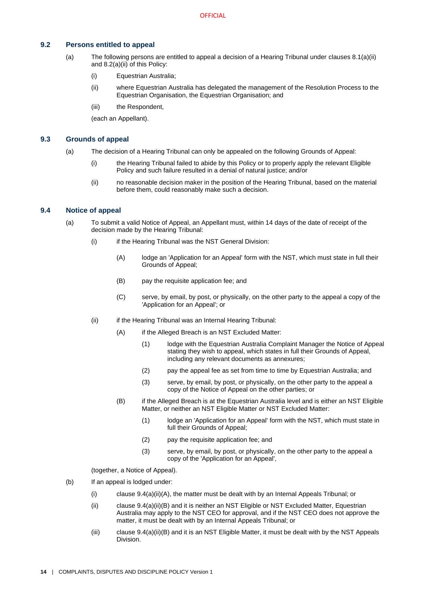## <span id="page-17-0"></span>**9.2 Persons entitled to appeal**

- (a) The following persons are entitled to appeal a decision of a Hearing Tribunal under clauses [8.1\(a\)\(ii\)](#page-16-10) and [8.2\(a\)\(ii\)](#page-16-11) of this Policy:
	- (i) Equestrian Australia;
	- (ii) where Equestrian Australia has delegated the management of the Resolution Process to the Equestrian Organisation, the Equestrian Organisation; and
	- (iii) the Respondent.

(each an Appellant).

## <span id="page-17-5"></span><span id="page-17-1"></span>**9.3 Grounds of appeal**

- (a) The decision of a Hearing Tribunal can only be appealed on the following Grounds of Appeal:
	- (i) the Hearing Tribunal failed to abide by this Policy or to properly apply the relevant Eligible Policy and such failure resulted in a denial of natural justice; and/or
	- (ii) no reasonable decision maker in the position of the Hearing Tribunal, based on the material before them, could reasonably make such a decision.

#### <span id="page-17-2"></span>**9.4 Notice of appeal**

- <span id="page-17-3"></span>(a) To submit a valid Notice of Appeal, an Appellant must, within 14 days of the date of receipt of the decision made by the Hearing Tribunal:
	- (i) if the Hearing Tribunal was the NST General Division:
		- (A) lodge an 'Application for an Appeal' form with the NST, which must state in full their Grounds of Appeal;
		- (B) pay the requisite application fee; and
		- (C) serve, by email, by post, or physically, on the other party to the appeal a copy of the 'Application for an Appeal'; or
	- (ii) if the Hearing Tribunal was an Internal Hearing Tribunal:
		- (A) if the Alleged Breach is an NST Excluded Matter:
			- (1) lodge with the Equestrian Australia Complaint Manager the Notice of Appeal stating they wish to appeal, which states in full their Grounds of Appeal, including any relevant documents as annexures;
			- (2) pay the appeal fee as set from time to time by Equestrian Australia; and
			- (3) serve, by email, by post, or physically, on the other party to the appeal a copy of the Notice of Appeal on the other parties; or
		- (B) if the Alleged Breach is at the Equestrian Australia level and is either an NST Eligible Matter, or neither an NST Eligible Matter or NST Excluded Matter:
			- (1) lodge an 'Application for an Appeal' form with the NST, which must state in full their Grounds of Appeal;
			- (2) pay the requisite application fee; and
			- (3) serve, by email, by post, or physically, on the other party to the appeal a copy of the 'Application for an Appeal',

(together, a Notice of Appeal).

- <span id="page-17-4"></span>(b) If an appeal is lodged under:
	- (i) claus[e 9.4\(a\)\(ii\)\(A\),](#page-17-3) the matter must be dealt with by an Internal Appeals Tribunal; or
	- (ii) claus[e 9.4\(a\)\(ii\)\(B\)](#page-17-4) and it is neither an NST Eligible or NST Excluded Matter, Equestrian Australia may apply to the NST CEO for approval, and if the NST CEO does not approve the matter, it must be dealt with by an Internal Appeals Tribunal; or
	- (iii) claus[e 9.4\(a\)\(ii\)\(B\)](#page-17-4) and it is an NST Eligible Matter, it must be dealt with by the NST Appeals Division.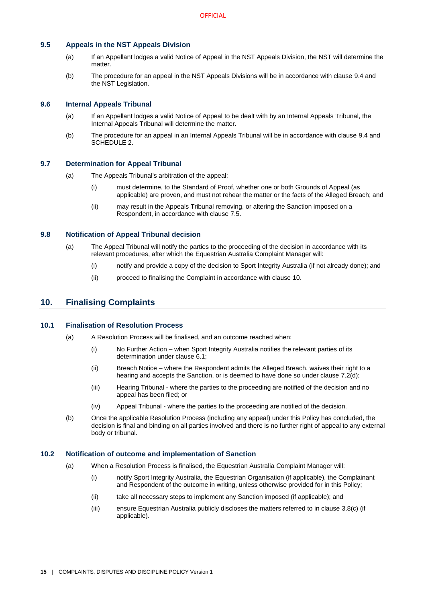## <span id="page-18-0"></span>**9.5 Appeals in the NST Appeals Division**

- (a) If an Appellant lodges a valid Notice of Appeal in the NST Appeals Division, the NST will determine the matter.
- (b) The procedure for an appeal in the NST Appeals Divisions will be in accordance with clause [9.4](#page-17-2) and the NST Legislation.

## <span id="page-18-1"></span>**9.6 Internal Appeals Tribunal**

- (a) If an Appellant lodges a valid Notice of Appeal to be dealt with by an Internal Appeals Tribunal, the Internal Appeals Tribunal will determine the matter.
- (b) The procedure for an appeal in an Internal Appeals Tribunal will be in accordance with clause [9.4](#page-17-2) and [SCHEDULE 2.](#page-24-0)

## <span id="page-18-2"></span>**9.7 Determination for Appeal Tribunal**

- (a) The Appeals Tribunal's arbitration of the appeal:
	- (i) must determine, to the Standard of Proof, whether one or both Grounds of Appeal (as applicable) are proven, and must not rehear the matter or the facts of the Alleged Breach; and
	- (ii) may result in the Appeals Tribunal removing, or altering the Sanction imposed on a Respondent, in accordance with clause [7.5.](#page-15-0)

## <span id="page-18-3"></span>**9.8 Notification of Appeal Tribunal decision**

- (a) The Appeal Tribunal will notify the parties to the proceeding of the decision in accordance with its relevant procedures, after which the Equestrian Australia Complaint Manager will:
	- (i) notify and provide a copy of the decision to Sport Integrity Australia (if not already done); and
	- (ii) proceed to finalising the Complaint in accordance with clause [10.](#page-18-4)

# <span id="page-18-4"></span>**10. Finalising Complaints**

## <span id="page-18-5"></span>**10.1 Finalisation of Resolution Process**

- (a) A Resolution Process will be finalised, and an outcome reached when:
	- (i) No Further Action when Sport Integrity Australia notifies the relevant parties of its determination under clause [6.1;](#page-13-2)
	- (ii) Breach Notice where the Respondent admits the Alleged Breach, waives their right to a hearing and accepts the Sanction, or is deemed to have done so under clause [7.2\(d\);](#page-14-4)
	- (iii) Hearing Tribunal where the parties to the proceeding are notified of the decision and no appeal has been filed; or
	- (iv) Appeal Tribunal where the parties to the proceeding are notified of the decision.
- (b) Once the applicable Resolution Process (including any appeal) under this Policy has concluded, the decision is final and binding on all parties involved and there is no further right of appeal to any external body or tribunal.

#### <span id="page-18-6"></span>**10.2 Notification of outcome and implementation of Sanction**

- (a) When a Resolution Process is finalised, the Equestrian Australia Complaint Manager will:
	- (i) notify Sport Integrity Australia, the Equestrian Organisation (if applicable), the Complainant and Respondent of the outcome in writing, unless otherwise provided for in this Policy;
	- (ii) take all necessary steps to implement any Sanction imposed (if applicable); and
	- (iii) ensure Equestrian Australia publicly discloses the matters referred to in claus[e 3.8](#page-8-0)[\(c\)](#page-8-6) (if applicable).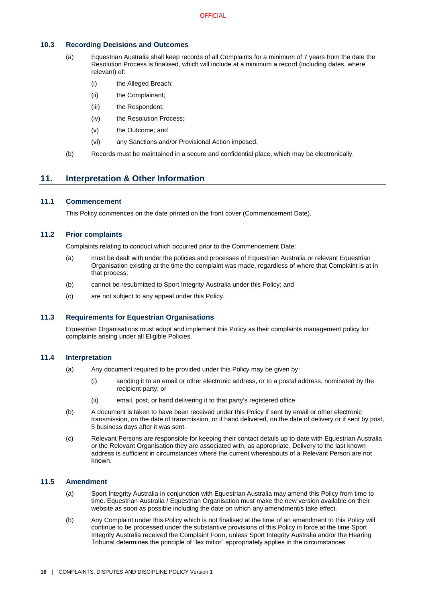## <span id="page-19-0"></span>**10.3 Recording Decisions and Outcomes**

- (a) Equestrian Australia shall keep records of all Complaints for a minimum of 7 years from the date the Resolution Process is finalised, which will include at a minimum a record (including dates, where relevant) of:
	- (i) the Alleged Breach;
	- (ii) the Complainant;
	- (iii) the Respondent:
	- (iv) the Resolution Process;
	- (v) the Outcome; and
	- (vi) any Sanctions and/or Provisional Action imposed.
- (b) Records must be maintained in a secure and confidential place, which may be electronically.

# <span id="page-19-1"></span>**11. Interpretation & Other Information**

# <span id="page-19-2"></span>**11.1 Commencement**

This Policy commences on the date printed on the front cover (Commencement Date).

## <span id="page-19-3"></span>**11.2 Prior complaints**

Complaints relating to conduct which occurred prior to the Commencement Date:

- (a) must be dealt with under the policies and processes of Equestrian Australia or relevant Equestrian Organisation existing at the time the complaint was made, regardless of where that Complaint is at in that process;
- (b) cannot be resubmitted to Sport Integrity Australia under this Policy; and
- (c) are not subject to any appeal under this Policy.

# <span id="page-19-4"></span>**11.3 Requirements for Equestrian Organisations**

Equestrian Organisations must adopt and implement this Policy as their complaints management policy for complaints arising under all Eligible Policies.

# <span id="page-19-5"></span>**11.4 Interpretation**

- (a) Any document required to be provided under this Policy may be given by:
	- (i) sending it to an email or other electronic address, or to a postal address, nominated by the recipient party; or
	- (ii) email, post, or hand delivering it to that party's registered office.
- (b) A document is taken to have been received under this Policy if sent by email or other electronic transmission, on the date of transmission, or if hand delivered, on the date of delivery or if sent by post, 5 business days after it was sent.
- (c) Relevant Persons are responsible for keeping their contact details up to date with Equestrian Australia or the Relevant Organisation they are associated with, as appropriate. Delivery to the last known address is sufficient in circumstances where the current whereabouts of a Relevant Person are not known.

## <span id="page-19-6"></span>**11.5 Amendment**

- (a) Sport Integrity Australia in conjunction with Equestrian Australia may amend this Policy from time to time. Equestrian Australia / Equestrian Organisation must make the new version available on their website as soon as possible including the date on which any amendment/s take effect.
- (b) Any Complaint under this Policy which is not finalised at the time of an amendment to this Policy will continue to be processed under the substantive provisions of this Policy in force at the time Sport Integrity Australia received the Complaint Form, unless Sport Integrity Australia and/or the Hearing Tribunal determines the principle of "lex mitior" appropriately applies in the circumstances.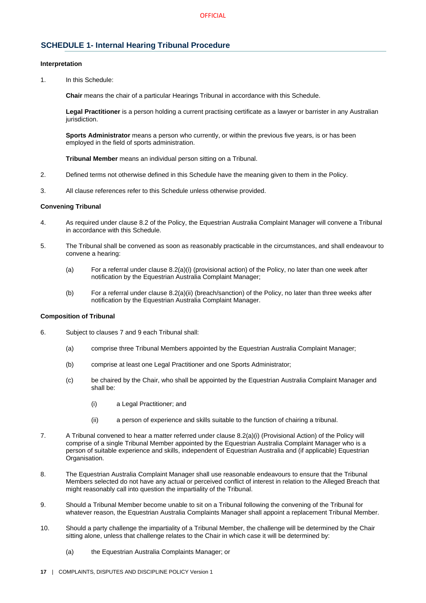# <span id="page-20-0"></span>**SCHEDULE 1- Internal Hearing Tribunal Procedure**

#### **Interpretation**

1. In this Schedule:

**Chair** means the chair of a particular Hearings Tribunal in accordance with this Schedule.

**Legal Practitioner** is a person holding a current practising certificate as a lawyer or barrister in any Australian jurisdiction.

**Sports Administrator** means a person who currently, or within the previous five years, is or has been employed in the field of sports administration.

**Tribunal Member** means an individual person sitting on a Tribunal.

- 2. Defined terms not otherwise defined in this Schedule have the meaning given to them in the Policy.
- 3. All clause references refer to this Schedule unless otherwise provided.

#### **Convening Tribunal**

- 4. As required under claus[e 8.2](#page-16-2) of the Policy, the Equestrian Australia Complaint Manager will convene a Tribunal in accordance with this Schedule.
- 5. The Tribunal shall be convened as soon as reasonably practicable in the circumstances, and shall endeavour to convene a hearing:
	- (a) For a referral under clause [8.2\(a\)\(i\)](#page-16-13) (provisional action) of the Policy, no later than one week after notification by the Equestrian Australia Complaint Manager;
	- (b) For a referral under clause [8.2\(a\)\(ii\)](#page-16-11) (breach/sanction) of the Policy, no later than three weeks after notification by the Equestrian Australia Complaint Manager.

## **Composition of Tribunal**

- 6. Subject to clause[s 7](#page-13-4) and [9](#page-16-5) each Tribunal shall:
	- (a) comprise three Tribunal Members appointed by the Equestrian Australia Complaint Manager;
	- (b) comprise at least one Legal Practitioner and one Sports Administrator;
	- (c) be chaired by the Chair, who shall be appointed by the Equestrian Australia Complaint Manager and shall be:
		- (i) a Legal Practitioner; and
		- (ii) a person of experience and skills suitable to the function of chairing a tribunal.
- 7. A Tribunal convened to hear a matter referred under clause [8.2\(a\)\(i\)](#page-16-13) (Provisional Action) of the Policy will comprise of a single Tribunal Member appointed by the Equestrian Australia Complaint Manager who is a person of suitable experience and skills, independent of Equestrian Australia and (if applicable) Equestrian Organisation.
- 8. The Equestrian Australia Complaint Manager shall use reasonable endeavours to ensure that the Tribunal Members selected do not have any actual or perceived conflict of interest in relation to the Alleged Breach that might reasonably call into question the impartiality of the Tribunal.
- 9. Should a Tribunal Member become unable to sit on a Tribunal following the convening of the Tribunal for whatever reason, the Equestrian Australia Complaints Manager shall appoint a replacement Tribunal Member.
- 10. Should a party challenge the impartiality of a Tribunal Member, the challenge will be determined by the Chair sitting alone, unless that challenge relates to the Chair in which case it will be determined by:
	- (a) the Equestrian Australia Complaints Manager; or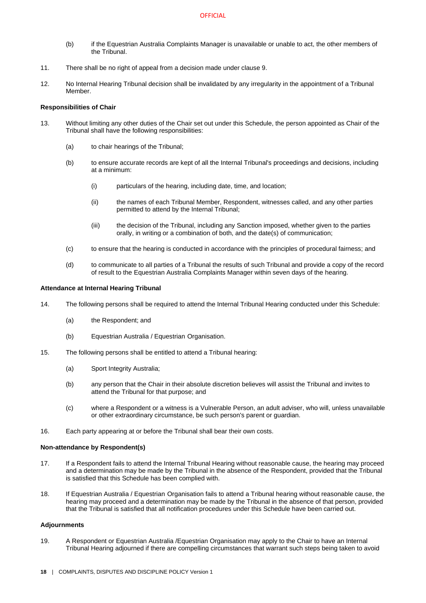- (b) if the Equestrian Australia Complaints Manager is unavailable or unable to act, the other members of the Tribunal.
- 11. There shall be no right of appeal from a decision made under clause 9.
- 12. No Internal Hearing Tribunal decision shall be invalidated by any irregularity in the appointment of a Tribunal Member.

## **Responsibilities of Chair**

- 13. Without limiting any other duties of the Chair set out under this Schedule, the person appointed as Chair of the Tribunal shall have the following responsibilities:
	- (a) to chair hearings of the Tribunal;
	- (b) to ensure accurate records are kept of all the Internal Tribunal's proceedings and decisions, including at a minimum:
		- (i) particulars of the hearing, including date, time, and location;
		- (ii) the names of each Tribunal Member, Respondent, witnesses called, and any other parties permitted to attend by the Internal Tribunal;
		- (iii) the decision of the Tribunal, including any Sanction imposed, whether given to the parties orally, in writing or a combination of both, and the date(s) of communication;
	- (c) to ensure that the hearing is conducted in accordance with the principles of procedural fairness; and
	- (d) to communicate to all parties of a Tribunal the results of such Tribunal and provide a copy of the record of result to the Equestrian Australia Complaints Manager within seven days of the hearing.

#### **Attendance at Internal Hearing Tribunal**

- 14. The following persons shall be required to attend the Internal Tribunal Hearing conducted under this Schedule:
	- (a) the Respondent; and
	- (b) Equestrian Australia / Equestrian Organisation.
- 15. The following persons shall be entitled to attend a Tribunal hearing:
	- (a) Sport Integrity Australia;
	- (b) any person that the Chair in their absolute discretion believes will assist the Tribunal and invites to attend the Tribunal for that purpose; and
	- (c) where a Respondent or a witness is a Vulnerable Person, an adult adviser, who will, unless unavailable or other extraordinary circumstance, be such person's parent or guardian.
- 16. Each party appearing at or before the Tribunal shall bear their own costs.

#### **Non-attendance by Respondent(s)**

- 17. If a Respondent fails to attend the Internal Tribunal Hearing without reasonable cause, the hearing may proceed and a determination may be made by the Tribunal in the absence of the Respondent, provided that the Tribunal is satisfied that this Schedule has been complied with.
- 18. If Equestrian Australia / Equestrian Organisation fails to attend a Tribunal hearing without reasonable cause, the hearing may proceed and a determination may be made by the Tribunal in the absence of that person, provided that the Tribunal is satisfied that all notification procedures under this Schedule have been carried out.

#### **Adjournments**

19. A Respondent or Equestrian Australia /Equestrian Organisation may apply to the Chair to have an Internal Tribunal Hearing adjourned if there are compelling circumstances that warrant such steps being taken to avoid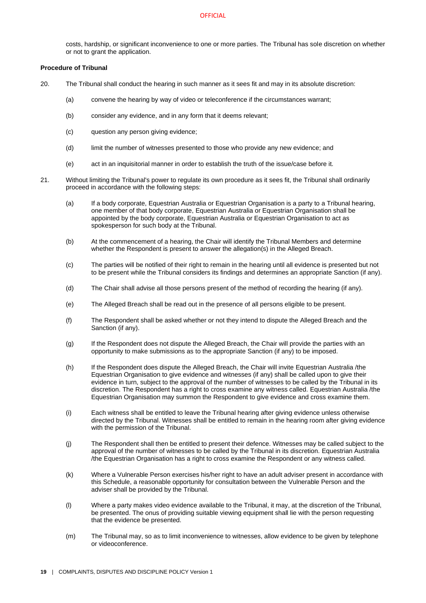costs, hardship, or significant inconvenience to one or more parties. The Tribunal has sole discretion on whether or not to grant the application.

## **Procedure of Tribunal**

- 20. The Tribunal shall conduct the hearing in such manner as it sees fit and may in its absolute discretion:
	- (a) convene the hearing by way of video or teleconference if the circumstances warrant;
	- (b) consider any evidence, and in any form that it deems relevant;
	- (c) question any person giving evidence;
	- (d) limit the number of witnesses presented to those who provide any new evidence; and
	- (e) act in an inquisitorial manner in order to establish the truth of the issue/case before it.
- 21. Without limiting the Tribunal's power to regulate its own procedure as it sees fit, the Tribunal shall ordinarily proceed in accordance with the following steps:
	- (a) If a body corporate, Equestrian Australia or Equestrian Organisation is a party to a Tribunal hearing, one member of that body corporate, Equestrian Australia or Equestrian Organisation shall be appointed by the body corporate, Equestrian Australia or Equestrian Organisation to act as spokesperson for such body at the Tribunal.
	- (b) At the commencement of a hearing, the Chair will identify the Tribunal Members and determine whether the Respondent is present to answer the allegation(s) in the Alleged Breach.
	- (c) The parties will be notified of their right to remain in the hearing until all evidence is presented but not to be present while the Tribunal considers its findings and determines an appropriate Sanction (if any).
	- (d) The Chair shall advise all those persons present of the method of recording the hearing (if any).
	- (e) The Alleged Breach shall be read out in the presence of all persons eligible to be present.
	- (f) The Respondent shall be asked whether or not they intend to dispute the Alleged Breach and the Sanction (if any).
	- (g) If the Respondent does not dispute the Alleged Breach, the Chair will provide the parties with an opportunity to make submissions as to the appropriate Sanction (if any) to be imposed.
	- (h) If the Respondent does dispute the Alleged Breach, the Chair will invite Equestrian Australia /the Equestrian Organisation to give evidence and witnesses (if any) shall be called upon to give their evidence in turn, subject to the approval of the number of witnesses to be called by the Tribunal in its discretion. The Respondent has a right to cross examine any witness called. Equestrian Australia /the Equestrian Organisation may summon the Respondent to give evidence and cross examine them.
	- (i) Each witness shall be entitled to leave the Tribunal hearing after giving evidence unless otherwise directed by the Tribunal. Witnesses shall be entitled to remain in the hearing room after giving evidence with the permission of the Tribunal.
	- (j) The Respondent shall then be entitled to present their defence. Witnesses may be called subject to the approval of the number of witnesses to be called by the Tribunal in its discretion. Equestrian Australia /the Equestrian Organisation has a right to cross examine the Respondent or any witness called.
	- (k) Where a Vulnerable Person exercises his/her right to have an adult adviser present in accordance with this Schedule, a reasonable opportunity for consultation between the Vulnerable Person and the adviser shall be provided by the Tribunal.
	- (l) Where a party makes video evidence available to the Tribunal, it may, at the discretion of the Tribunal, be presented. The onus of providing suitable viewing equipment shall lie with the person requesting that the evidence be presented.
	- (m) The Tribunal may, so as to limit inconvenience to witnesses, allow evidence to be given by telephone or videoconference.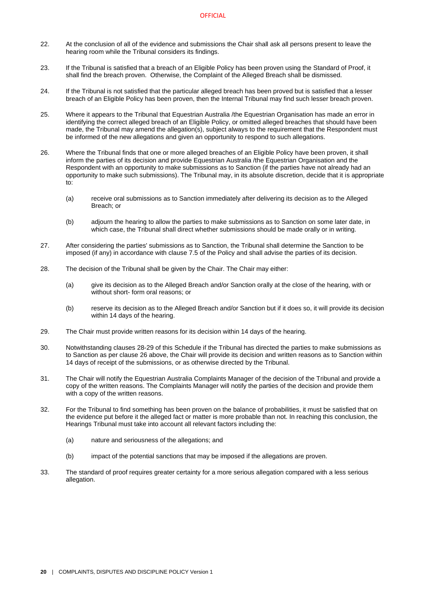- 22. At the conclusion of all of the evidence and submissions the Chair shall ask all persons present to leave the hearing room while the Tribunal considers its findings.
- 23. If the Tribunal is satisfied that a breach of an Eligible Policy has been proven using the Standard of Proof, it shall find the breach proven. Otherwise, the Complaint of the Alleged Breach shall be dismissed.
- 24. If the Tribunal is not satisfied that the particular alleged breach has been proved but is satisfied that a lesser breach of an Eligible Policy has been proven, then the Internal Tribunal may find such lesser breach proven.
- 25. Where it appears to the Tribunal that Equestrian Australia /the Equestrian Organisation has made an error in identifying the correct alleged breach of an Eligible Policy, or omitted alleged breaches that should have been made, the Tribunal may amend the allegation(s), subject always to the requirement that the Respondent must be informed of the new allegations and given an opportunity to respond to such allegations.
- <span id="page-23-2"></span>26. Where the Tribunal finds that one or more alleged breaches of an Eligible Policy have been proven, it shall inform the parties of its decision and provide Equestrian Australia /the Equestrian Organisation and the Respondent with an opportunity to make submissions as to Sanction (if the parties have not already had an opportunity to make such submissions). The Tribunal may, in its absolute discretion, decide that it is appropriate to:
	- (a) receive oral submissions as to Sanction immediately after delivering its decision as to the Alleged Breach; or
	- (b) adjourn the hearing to allow the parties to make submissions as to Sanction on some later date, in which case, the Tribunal shall direct whether submissions should be made orally or in writing.
- 27. After considering the parties' submissions as to Sanction, the Tribunal shall determine the Sanction to be imposed (if any) in accordance with clause [7.5](#page-15-0) of the Policy and shall advise the parties of its decision.
- <span id="page-23-0"></span>28. The decision of the Tribunal shall be given by the Chair. The Chair may either:
	- (a) give its decision as to the Alleged Breach and/or Sanction orally at the close of the hearing, with or without short- form oral reasons; or
	- (b) reserve its decision as to the Alleged Breach and/or Sanction but if it does so, it will provide its decision within 14 days of the hearing.
- <span id="page-23-1"></span>29. The Chair must provide written reasons for its decision within 14 days of the hearing.
- 30. Notwithstanding clause[s 28](#page-23-0)[-29](#page-23-1) of this Schedule if the Tribunal has directed the parties to make submissions as to Sanction as per claus[e 26](#page-23-2) above, the Chair will provide its decision and written reasons as to Sanction within 14 days of receipt of the submissions, or as otherwise directed by the Tribunal.
- 31. The Chair will notify the Equestrian Australia Complaints Manager of the decision of the Tribunal and provide a copy of the written reasons. The Complaints Manager will notify the parties of the decision and provide them with a copy of the written reasons.
- 32. For the Tribunal to find something has been proven on the balance of probabilities, it must be satisfied that on the evidence put before it the alleged fact or matter is more probable than not. In reaching this conclusion, the Hearings Tribunal must take into account all relevant factors including the:
	- (a) nature and seriousness of the allegations; and
	- (b) impact of the potential sanctions that may be imposed if the allegations are proven.
- 33. The standard of proof requires greater certainty for a more serious allegation compared with a less serious allegation.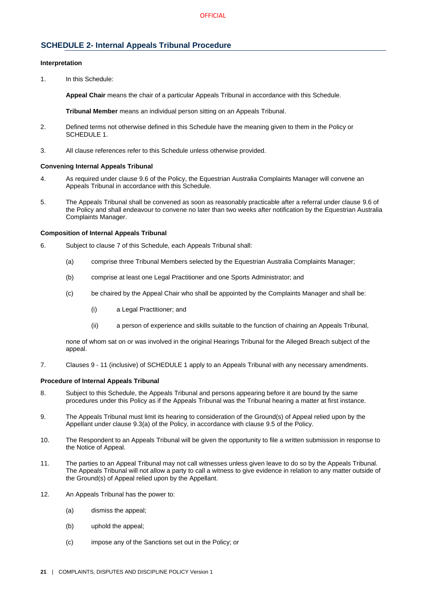# <span id="page-24-0"></span>**SCHEDULE 2- Internal Appeals Tribunal Procedure**

## **Interpretation**

1. In this Schedule:

**Appeal Chair** means the chair of a particular Appeals Tribunal in accordance with this Schedule.

**Tribunal Member** means an individual person sitting on an Appeals Tribunal.

- 2. Defined terms not otherwise defined in this Schedule have the meaning given to them in the Policy or [SCHEDULE 1.](#page-20-0)
- 3. All clause references refer to this Schedule unless otherwise provided.

#### **Convening Internal Appeals Tribunal**

- 4. As required under claus[e 9.6](#page-18-1) of the Policy, the Equestrian Australia Complaints Manager will convene an Appeals Tribunal in accordance with this Schedule.
- 5. The Appeals Tribunal shall be convened as soon as reasonably practicable after a referral under clause [9.6](#page-18-1) of the Policy and shall endeavour to convene no later than two weeks after notification by the Equestrian Australia Complaints Manager.

#### **Composition of Internal Appeals Tribunal**

- 6. Subject to clause [7](#page-24-1) of this Schedule, each Appeals Tribunal shall:
	- (a) comprise three Tribunal Members selected by the Equestrian Australia Complaints Manager;
	- (b) comprise at least one Legal Practitioner and one Sports Administrator; and
	- (c) be chaired by the Appeal Chair who shall be appointed by the Complaints Manager and shall be:
		- (i) a Legal Practitioner; and
		- (ii) a person of experience and skills suitable to the function of chairing an Appeals Tribunal,

none of whom sat on or was involved in the original Hearings Tribunal for the Alleged Breach subject of the appeal.

<span id="page-24-1"></span>7. Clauses 9 - 11 (inclusive) o[f SCHEDULE 1](#page-20-0) apply to an Appeals Tribunal with any necessary amendments.

## **Procedure of Internal Appeals Tribunal**

- 8. Subject to this Schedule, the Appeals Tribunal and persons appearing before it are bound by the same procedures under this Policy as if the Appeals Tribunal was the Tribunal hearing a matter at first instance.
- 9. The Appeals Tribunal must limit its hearing to consideration of the Ground(s) of Appeal relied upon by the Appellant under clause [9.3\(a\)](#page-17-5) of the Policy, in accordance with clause [9.5](#page-18-0) of the Policy.
- 10. The Respondent to an Appeals Tribunal will be given the opportunity to file a written submission in response to the Notice of Appeal.
- 11. The parties to an Appeal Tribunal may not call witnesses unless given leave to do so by the Appeals Tribunal. The Appeals Tribunal will not allow a party to call a witness to give evidence in relation to any matter outside of the Ground(s) of Appeal relied upon by the Appellant.
- 12. An Appeals Tribunal has the power to:
	- (a) dismiss the appeal;
	- (b) uphold the appeal;
	- (c) impose any of the Sanctions set out in the Policy; or